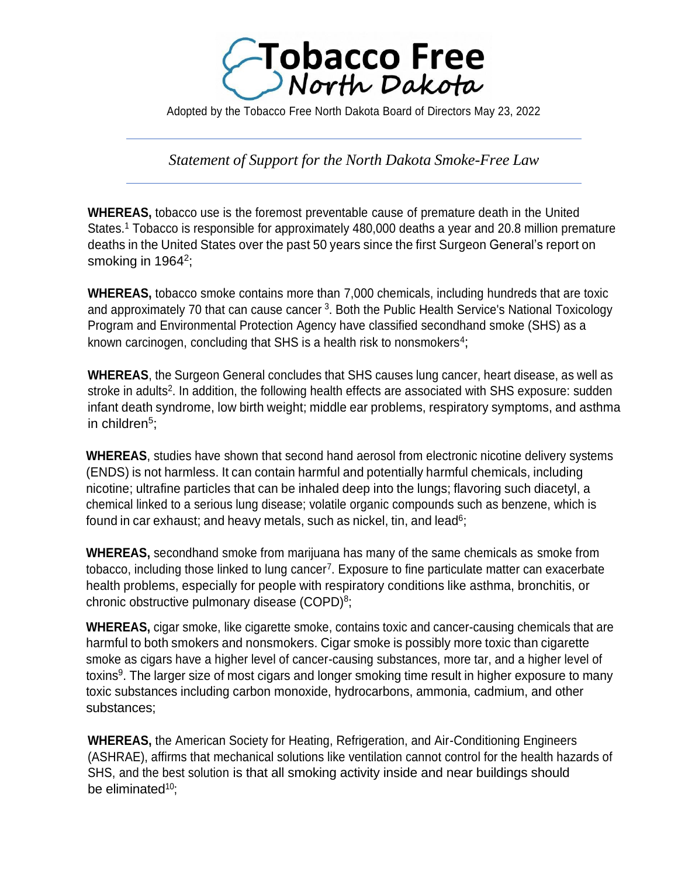

Adopted by the Tobacco Free North Dakota Board of Directors May 23, 2022

*Statement of Support for the North Dakota Smoke-Free Law*

**WHEREAS,** tobacco use is the foremost preventable cause of premature death in the United States.<sup>1</sup> Tobacco is responsible for approximately 480,000 deaths a year and 20.8 million premature deaths in the United States over the past 50 years since the first Surgeon General's report on smoking in 1964<sup>2</sup>;

**WHEREAS,** tobacco smoke contains more than 7,000 chemicals, including hundreds that are toxic and approximately 70 that can cause cancer <sup>3</sup>. Both the Public Health Service's National Toxicology Program and Environmental Protection Agency have classified secondhand smoke (SHS) as a known carcinogen, concluding that SHS is a health risk to nonsmokers<sup>4</sup>;

**WHEREAS**, the Surgeon General concludes that SHS causes lung cancer, heart disease, as well as stroke in adults<sup>2</sup>. In addition, the following health effects are associated with SHS exposure: sudden infant death syndrome, low birth weight; middle ear problems, respiratory symptoms, and asthma in children<sup>5</sup>;

**WHEREAS**, studies have shown that second hand aerosol from electronic nicotine delivery systems (ENDS) is not harmless. It can contain harmful and potentially harmful chemicals, including nicotine; ultrafine particles that can be inhaled deep into the lungs; flavoring such diacetyl, a chemical linked to a serious lung disease; volatile organic compounds such as benzene, which is found in car exhaust; and heavy metals, such as nickel, tin, and lead<sup>6</sup>;

**WHEREAS,** secondhand smoke from marijuana has many of the same chemicals as smoke from tobacco, including those linked to lung cancer<sup>7</sup>. Exposure to fine particulate matter can exacerbate health problems, especially for people with respiratory conditions like asthma, bronchitis, or chronic obstructive pulmonary disease (COPD)<sup>8</sup>;

**WHEREAS,** cigar smoke, like cigarette smoke, contains toxic and cancer-causing chemicals that are harmful to both smokers and nonsmokers. Cigar smoke is possibly more toxic than cigarette smoke as cigars have a higher level of cancer-causing substances, more tar, and a higher level of toxins<sup>9</sup>. The larger size of most cigars and longer smoking time result in higher exposure to many toxic substances including carbon monoxide, hydrocarbons, ammonia, cadmium, and other substances;

**WHEREAS,** the American Society for Heating, Refrigeration, and Air-Conditioning Engineers (ASHRAE), affirms that mechanical solutions like ventilation cannot control for the health hazards of SHS, and the best solution is that all smoking activity inside and near buildings should be eliminated $10$ ;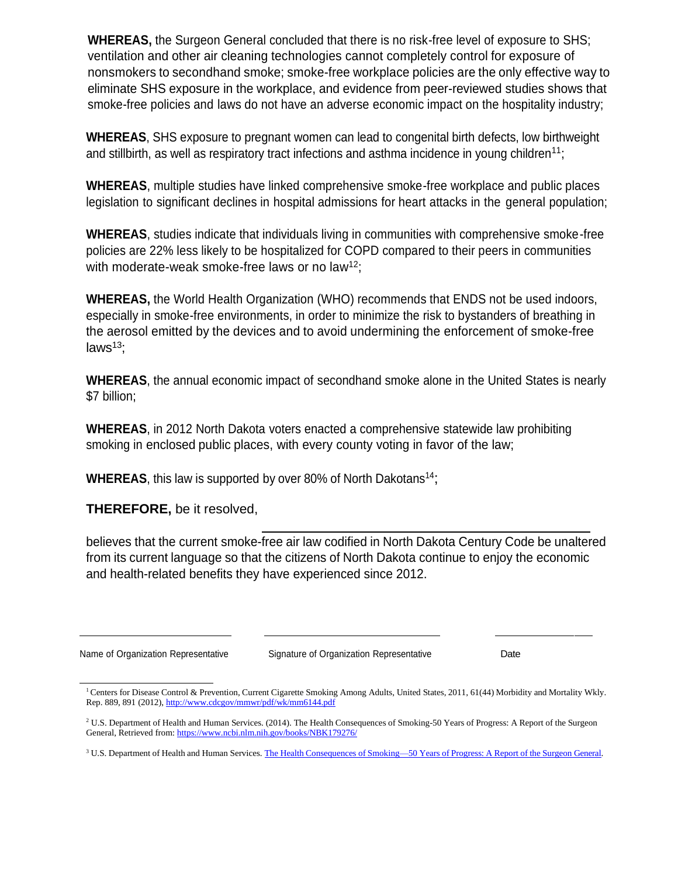**WHEREAS,** the Surgeon General concluded that there is no risk-free level of exposure to SHS; ventilation and other air cleaning technologies cannot completely control for exposure of nonsmokers to secondhand smoke; smoke-free workplace policies are the only effective way to eliminate SHS exposure in the workplace, and evidence from peer-reviewed studies shows that smoke-free policies and laws do not have an adverse economic impact on the hospitality industry;

**WHEREAS**, SHS exposure to pregnant women can lead to congenital birth defects, low birthweight and stillbirth, as well as respiratory tract infections and asthma incidence in young children<sup>11</sup>;

**WHEREAS**, multiple studies have linked comprehensive smoke-free workplace and public places legislation to significant declines in hospital admissions for heart attacks in the general population;

**WHEREAS**, studies indicate that individuals living in communities with comprehensive smoke-free policies are 22% less likely to be hospitalized for COPD compared to their peers in communities with moderate-weak smoke-free laws or no law<sup>12</sup>;

**WHEREAS,** the World Health Organization (WHO) recommends that ENDS not be used indoors, especially in smoke-free environments, in order to minimize the risk to bystanders of breathing in the aerosol emitted by the devices and to avoid undermining the enforcement of smoke-free laws $13$ ;

**WHEREAS**, the annual economic impact of secondhand smoke alone in the United States is nearly \$7 billion[;](https://www.tobaccofreekids.org/problem/toll-us)

**WHEREAS**, in 2012 North Dakota voters enacted a comprehensive statewide law prohibiting smoking in enclosed public places, with every county voting in favor of the law;

**WHEREAS**, this law is supported by over 80% of North Dakotans<sup>14</sup>;

**THEREFORE,** be it resolved,

believes that the current smoke-free air law codified in North Dakota Century Code be unaltered from its current language so that the citizens of North Dakota continue to enjoy the economic and health-related benefits they have experienced since 2012.

Name of Organization Representative Signature of Organization Representative Date

<sup>1</sup>Centers for Disease Control & Prevention, Current Cigarette Smoking Among Adults, United States, 2011, 61(44) Morbidity and Mortality Wkly. Rep. 889, 891 (2012), http://www.cdcgov/mmwr/pdf/wk/mm6144.pdf

<sup>&</sup>lt;sup>2</sup> U.S. Department of Health and Human Services. (2014). The Health Consequences of Smoking-50 Years of Progress: A Report of the Surgeon General, Retrieved from:<https://www.ncbi.nlm.nih.gov/books/NBK179276/>

<sup>&</sup>lt;sup>3</sup> U.S. Department of Health and Human Services. The Health [Consequences](https://www.cdc.gov/tobacco/data_statistics/sgr/50th-anniversary/index.htm) of Smoking—50 Years of Progress: A Report of the Surgeon General.